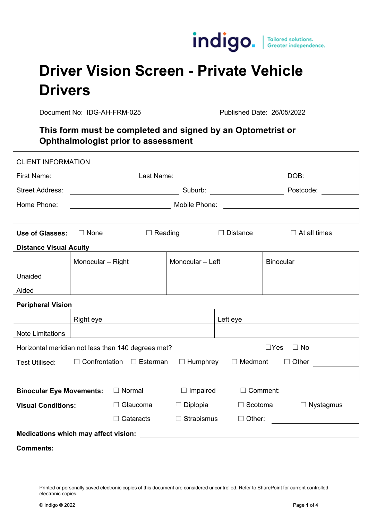

## **Driver Vision Screen - Private Vehicle Drivers**

Document No: IDG-AH-FRM-025 Published Date: 26/05/2022

### **This form must be completed and signed by an Optometrist or Ophthalmologist prior to assessment**

| <b>CLIENT INFORMATION</b>                                                     |                                                                                                                                                                                                                                      |                                                                                                                       |                   |                                                                                                                                   |                     |                                                                                                                                                                                                                                |  |
|-------------------------------------------------------------------------------|--------------------------------------------------------------------------------------------------------------------------------------------------------------------------------------------------------------------------------------|-----------------------------------------------------------------------------------------------------------------------|-------------------|-----------------------------------------------------------------------------------------------------------------------------------|---------------------|--------------------------------------------------------------------------------------------------------------------------------------------------------------------------------------------------------------------------------|--|
| First Name:                                                                   |                                                                                                                                                                                                                                      |                                                                                                                       |                   |                                                                                                                                   |                     | DOB: the contract of the contract of the contract of the contract of the contract of the contract of the contract of the contract of the contract of the contract of the contract of the contract of the contract of the contr |  |
| <b>Street Address:</b>                                                        |                                                                                                                                                                                                                                      |                                                                                                                       |                   |                                                                                                                                   |                     | Postcode: Note that the set of the set of the set of the set of the set of the set of the set of the set of the set of the set of the set of the set of the set of the set of the set of the set of the set of the set of the  |  |
| Home Phone:                                                                   | <u>Mobile Phone: Expanding Mobile Phone: Expanding Mobile Phone: Expanding Mobile Phone: Expanding Mobile Phone: Expanding Mobile Phone: Expanding Mobile Phone: Expanding Mobile Phone: Expanding Mobile Phone: Expanding Mobil</u> |                                                                                                                       |                   |                                                                                                                                   |                     |                                                                                                                                                                                                                                |  |
|                                                                               |                                                                                                                                                                                                                                      |                                                                                                                       |                   |                                                                                                                                   |                     |                                                                                                                                                                                                                                |  |
| <b>Use of Glasses:</b>                                                        | $\Box$ None<br>$\Box$ Reading                                                                                                                                                                                                        |                                                                                                                       | $\Box$ Distance   |                                                                                                                                   | $\Box$ At all times |                                                                                                                                                                                                                                |  |
| <b>Distance Visual Acuity</b>                                                 |                                                                                                                                                                                                                                      |                                                                                                                       |                   |                                                                                                                                   |                     |                                                                                                                                                                                                                                |  |
|                                                                               | Monocular - Right                                                                                                                                                                                                                    |                                                                                                                       | Monocular - Left  |                                                                                                                                   | <b>Binocular</b>    |                                                                                                                                                                                                                                |  |
| Unaided                                                                       |                                                                                                                                                                                                                                      |                                                                                                                       |                   |                                                                                                                                   |                     |                                                                                                                                                                                                                                |  |
| Aided                                                                         |                                                                                                                                                                                                                                      |                                                                                                                       |                   |                                                                                                                                   |                     |                                                                                                                                                                                                                                |  |
| <b>Peripheral Vision</b>                                                      |                                                                                                                                                                                                                                      |                                                                                                                       |                   |                                                                                                                                   |                     |                                                                                                                                                                                                                                |  |
|                                                                               | Right eye                                                                                                                                                                                                                            | <u> 1989 - Johann Barbara, martin amerikan basar dan berasal dan berasal dalam basar dalam basar dalam basar dala</u> |                   | Left eye<br><u> 1989 - Johann Harry Harry Harry Harry Harry Harry Harry Harry Harry Harry Harry Harry Harry Harry Harry Harry</u> |                     |                                                                                                                                                                                                                                |  |
| <b>Note Limitations</b>                                                       |                                                                                                                                                                                                                                      |                                                                                                                       |                   |                                                                                                                                   |                     |                                                                                                                                                                                                                                |  |
| $\Box$ Yes<br>$\Box$ No<br>Horizontal meridian not less than 140 degrees met? |                                                                                                                                                                                                                                      |                                                                                                                       |                   |                                                                                                                                   |                     |                                                                                                                                                                                                                                |  |
| <b>Test Utilised:</b>                                                         |                                                                                                                                                                                                                                      | $\Box$ Confrontation $\Box$ Esterman                                                                                  | $\Box$ Humphrey   | $\Box$ Medmont                                                                                                                    |                     | $\Box$ Other                                                                                                                                                                                                                   |  |
|                                                                               |                                                                                                                                                                                                                                      |                                                                                                                       |                   |                                                                                                                                   |                     |                                                                                                                                                                                                                                |  |
| <b>Binocular Eye Movements:</b>                                               |                                                                                                                                                                                                                                      | $\Box$ Normal                                                                                                         | $\Box$ Impaired   | $\Box$ Comment:                                                                                                                   |                     | <u> 1980 - Jan Barat, prima a popular popular popular popular popular popular popular popular popular popular po</u>                                                                                                           |  |
| <b>Visual Conditions:</b>                                                     |                                                                                                                                                                                                                                      | $\Box$ Glaucoma                                                                                                       | $\Box$ Diplopia   | $\Box$ Scotoma                                                                                                                    |                     | $\Box$ Nystagmus                                                                                                                                                                                                               |  |
|                                                                               |                                                                                                                                                                                                                                      | $\Box$ Cataracts                                                                                                      | $\Box$ Strabismus | $\Box$ Other:                                                                                                                     |                     |                                                                                                                                                                                                                                |  |
|                                                                               |                                                                                                                                                                                                                                      |                                                                                                                       |                   |                                                                                                                                   |                     |                                                                                                                                                                                                                                |  |
| <b>Comments:</b>                                                              |                                                                                                                                                                                                                                      |                                                                                                                       |                   |                                                                                                                                   |                     |                                                                                                                                                                                                                                |  |

Printed or personally saved electronic copies of this document are considered uncontrolled. Refer to SharePoint for current controlled electronic copies.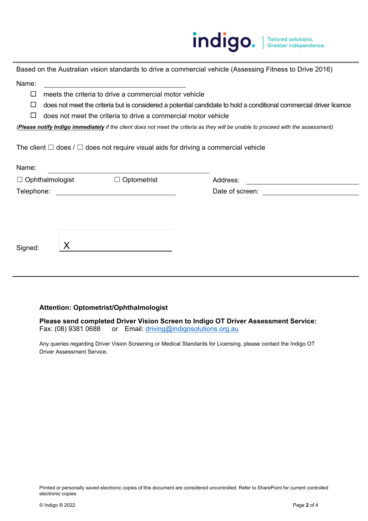# indigo. | Tailored solutions.

Based on the Australian vision standards to drive a commercial vehicle (Assessing Fitness to Drive 2016) Name:

- $\Box$  meets the criteria to drive a commercial motor vehicle
- $\Box$  does not meet the criteria but is considered a potential candidate to hold a conditional commercial driver licence
- $\Box$  does not meet the criteria to drive a commercial motor vehicle

*(Please notify Indigo immediately if the client does not meet the criteria as they will be unable to proceed with the assessment)*

The client  $\Box$  does /  $\Box$  does not require visual aids for driving a commercial vehicle

| Name:                  |                    |                 |  |
|------------------------|--------------------|-----------------|--|
| $\Box$ Ophthalmologist | $\Box$ Optometrist | Address:        |  |
| Telephone:             |                    | Date of screen: |  |
|                        |                    |                 |  |
|                        |                    |                 |  |
|                        |                    |                 |  |
| Signed:                |                    |                 |  |
|                        |                    |                 |  |
|                        |                    |                 |  |

#### **Attention: Optometrist/Ophthalmologist**

Please send completed Driver Vision Screen to Indigo OT Driver Assessment Service:<br>Fax: (08) 9381 0688 or Email: driving@indigosolutions.org.au or Email: driving@indigosolutions.org.au

Any queries regarding Driver Vision Screening or Medical Standards for Licensing, please contact the Indigo OT Driver Assessment Service.